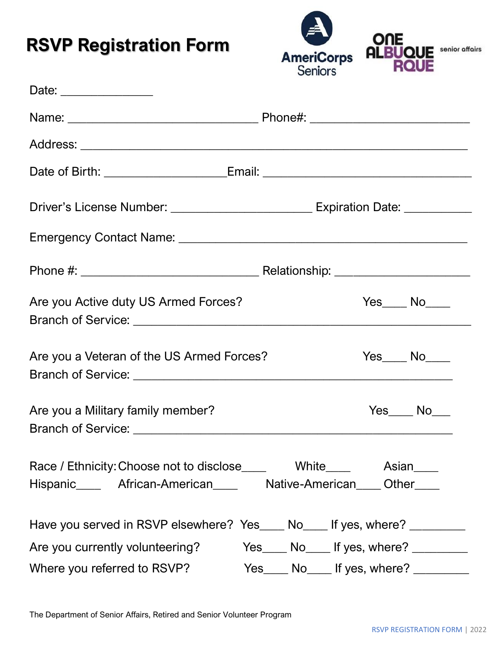# **RSVP Registration Form**



| Date: _________________                                                                                                                       |                                                         |  |  |  |  |
|-----------------------------------------------------------------------------------------------------------------------------------------------|---------------------------------------------------------|--|--|--|--|
|                                                                                                                                               |                                                         |  |  |  |  |
|                                                                                                                                               |                                                         |  |  |  |  |
|                                                                                                                                               |                                                         |  |  |  |  |
|                                                                                                                                               |                                                         |  |  |  |  |
|                                                                                                                                               |                                                         |  |  |  |  |
|                                                                                                                                               |                                                         |  |  |  |  |
| Are you Active duty US Armed Forces?                                                                                                          | $Yes$ No $N$                                            |  |  |  |  |
| Are you a Veteran of the US Armed Forces?                                                                                                     | $Yes$ No $\rule{1em}{0.15mm}$ No $\rule{1.5mm}{0.15mm}$ |  |  |  |  |
| Are you a Military family member?                                                                                                             | $Yes$ No No No No No No No $N$                          |  |  |  |  |
| Race / Ethnicity: Choose not to disclose_____ White_____ Asian____<br>Hispanic_______ African-American_______ Native-American_____ Other_____ |                                                         |  |  |  |  |
| Have you served in RSVP elsewhere? Yes____ No____ If yes, where? _________                                                                    |                                                         |  |  |  |  |
| Are you currently volunteering?                                                                                                               | Yes No If yes, where?                                   |  |  |  |  |
| Where you referred to RSVP?                                                                                                                   | Yes_____ No_____ If yes, where? _________               |  |  |  |  |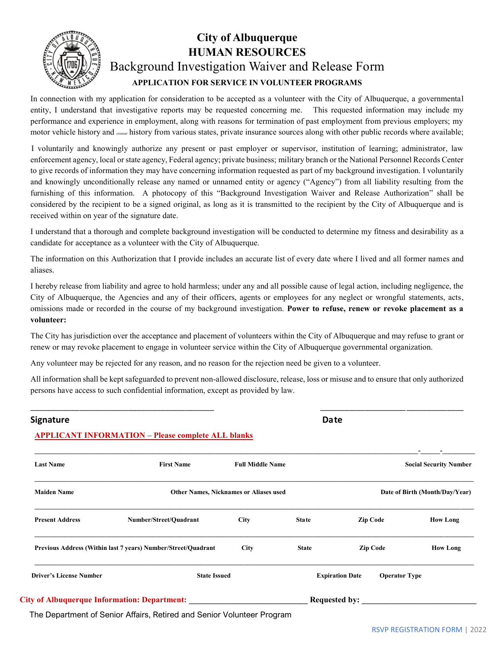

#### **City of Albuquerque HUMAN RESOURCES** Background Investigation Waiver and Release Form **APPLICATION FOR SERVICE IN VOLUNTEER PROGRAMS**

In connection with my application for consideration to be accepted as a volunteer with the City of Albuquerque, a governmental entity, I understand that investigative reports may be requested concerning me. This requested information may include my performance and experience in employment, along with reasons for termination of past employment from previous employers; my motor vehicle history and criminal history from various states, private insurance sources along with other public records where available;

I voluntarily and knowingly authorize any present or past employer or supervisor, institution of learning; administrator, law enforcement agency, local or state agency, Federal agency; private business; military branch or the National Personnel Records Center to give records of information they may have concerning information requested as part of my background investigation. I voluntarily and knowingly unconditionally release any named or unnamed entity or agency ("Agency") from all liability resulting from the furnishing of this information. A photocopy of this "Background Investigation Waiver and Release Authorization" shall be considered by the recipient to be a signed original, as long as it is transmitted to the recipient by the City of Albuquerque and is received within on year of the signature date.

I understand that a thorough and complete background investigation will be conducted to determine my fitness and desirability as a candidate for acceptance as a volunteer with the City of Albuquerque.

The information on this Authorization that I provide includes an accurate list of every date where I lived and all former names and aliases.

I hereby release from liability and agree to hold harmless; under any and all possible cause of legal action, including negligence, the City of Albuquerque, the Agencies and any of their officers, agents or employees for any neglect or wrongful statements, acts, omissions made or recorded in the course of my background investigation. **Power to refuse, renew or revoke placement as a volunteer:**

The City has jurisdiction over the acceptance and placement of volunteers within the City of Albuquerque and may refuse to grant or renew or may revoke placement to engage in volunteer service within the City of Albuquerque governmental organization.

Any volunteer may be rejected for any reason, and no reason for the rejection need be given to a volunteer.

All information shall be kept safeguarded to prevent non-allowed disclosure, release, loss or misuse and to ensure that only authorized persons have access to such confidential information, except as provided by law.

\_\_\_\_\_\_\_\_\_\_\_\_\_\_\_\_\_\_\_\_\_\_\_\_\_\_\_\_\_\_\_\_\_\_\_\_\_\_\_\_\_\_\_\_\_ \_\_\_\_\_\_\_\_\_\_\_\_\_\_\_\_\_\_\_\_\_\_\_\_\_\_\_\_\_\_\_\_\_\_\_

#### **Signature** Date **Date Date Date Date Date Date**

#### **APPLICANT INFORMATION – Please complete ALL blanks**

| <b>Last Name</b>               | <b>First Name</b>                                             | <b>Full Middle Name</b> |              |                                                | <b>Social Security Number</b> |
|--------------------------------|---------------------------------------------------------------|-------------------------|--------------|------------------------------------------------|-------------------------------|
| <b>Maiden Name</b>             | <b>Other Names, Nicknames or Aliases used</b>                 |                         |              | Date of Birth (Month/Day/Year)                 |                               |
| <b>Present Address</b>         | Number/Street/Quadrant                                        | <b>City</b>             | <b>State</b> | <b>Zip Code</b>                                | <b>How Long</b>               |
|                                | Previous Address (Within last 7 years) Number/Street/Quadrant | <b>City</b>             | <b>State</b> | <b>Zip Code</b>                                | <b>How Long</b>               |
| <b>Driver's License Number</b> | <b>State Issued</b>                                           |                         |              | <b>Expiration Date</b><br><b>Operator Type</b> |                               |
|                                | <b>City of Albuquerque Information: Department:</b>           | <b>Requested by:</b>    |              |                                                |                               |

The Department of Senior Affairs, Retired and Senior Volunteer Program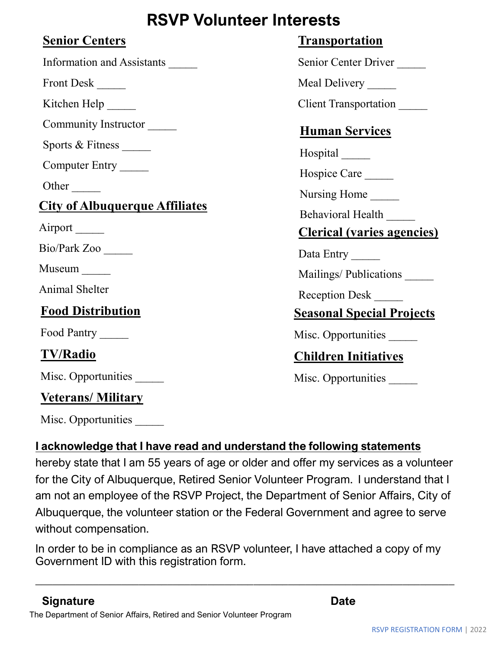# **RSVP Volunteer Interests**

#### **Senior Centers**

Information and Assistants \_\_\_\_\_

Front Desk \_\_\_\_\_

Kitchen Help

Community Instructor \_\_\_\_\_

Sports & Fitness

Computer Entry \_\_\_\_\_

Other  $\Box$ 

## **City of Albuquerque Affiliates**

Airport

Bio/Park Zoo \_\_\_\_\_

Museum \_\_\_\_\_

Animal Shelter \_\_\_\_\_

## **Food Distribution**

Food Pantry

## **TV/Radio**

Misc. Opportunities

#### **Veterans/ Military**

Misc. Opportunities

#### **I acknowledge that I have read and understand the following statements**

hereby state that I am 55 years of age or older and offer my services as a volunteer for the City of Albuquerque, Retired Senior Volunteer Program. I understand that I am not an employee of the RSVP Project, the Department of Senior Affairs, City of Albuquerque, the volunteer station or the Federal Government and agree to serve without compensation.

In order to be in compliance as an RSVP volunteer, I have attached a copy of my Government ID with this registration form.

 $\_$  , and the contribution of the contribution of  $\mathcal{L}_1$  , and the contribution of  $\mathcal{L}_2$  , and the contribution of  $\mathcal{L}_1$ 

#### The Department of Senior Affairs, Retired and Senior Volunteer Program **Signature Date**

### **Transportation**

Senior Center Driver

Meal Delivery

Client Transportation \_\_\_\_\_

## **Human Services**

Hospital \_\_\_\_\_

Hospice Care

Nursing Home

Behavioral Health

#### **Clerical (varies agencies)**

Data Entry

Mailings/ Publications

Reception Desk \_\_\_\_\_

#### **Seasonal Special Projects**

Misc. Opportunities

## **Children Initiatives**

Misc. Opportunities